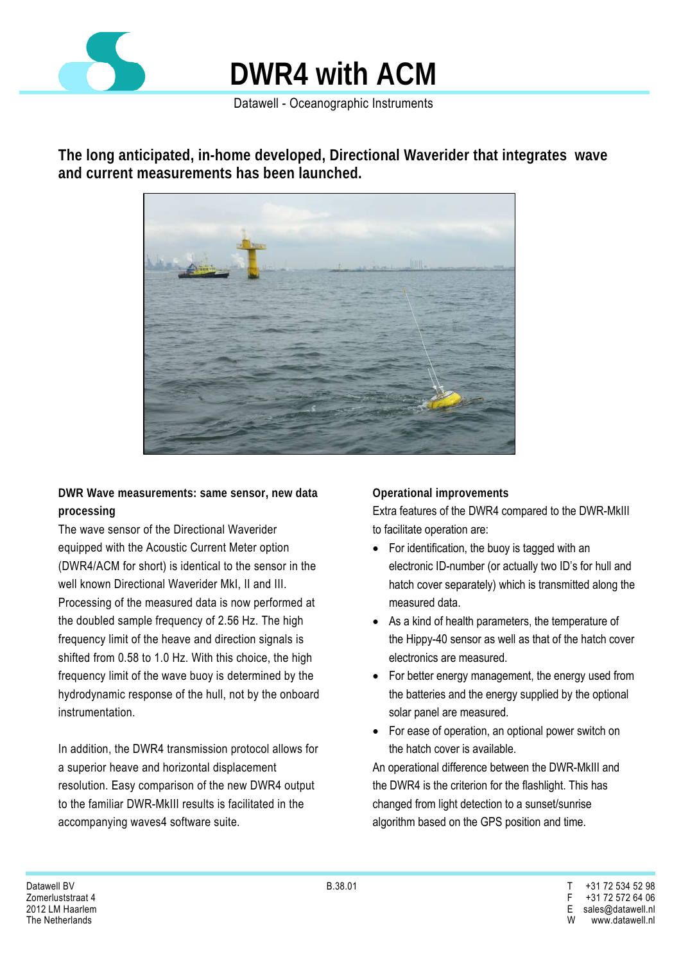

Datawell - Oceanographic Instruments

**The long anticipated, in-home developed, Directional Waverider that integrates wave and current measurements has been launched.** 



**DWR Wave measurements: same sensor, new data processing** 

The wave sensor of the Directional Waverider equipped with the Acoustic Current Meter option (DWR4/ACM for short) is identical to the sensor in the well known Directional Waverider MkI, II and III. Processing of the measured data is now performed at the doubled sample frequency of 2.56 Hz. The high frequency limit of the heave and direction signals is shifted from 0.58 to 1.0 Hz. With this choice, the high frequency limit of the wave buoy is determined by the hydrodynamic response of the hull, not by the onboard instrumentation.

In addition, the DWR4 transmission protocol allows for a superior heave and horizontal displacement resolution. Easy comparison of the new DWR4 output to the familiar DWR-MkIII results is facilitated in the accompanying waves4 software suite.

**Operational improvements**

Extra features of the DWR4 compared to the DWR-MkIII to facilitate operation are:

- For identification, the buoy is tagged with an electronic ID-number (or actually two ID's for hull and hatch cover separately) which is transmitted along the measured data.
- As a kind of health parameters, the temperature of the Hippy-40 sensor as well as that of the hatch cover electronics are measured.
- For better energy management, the energy used from the batteries and the energy supplied by the optional solar panel are measured.
- For ease of operation, an optional power switch on the hatch cover is available.

An operational difference between the DWR-MkIII and the DWR4 is the criterion for the flashlight. This has changed from light detection to a sunset/sunrise algorithm based on the GPS position and time.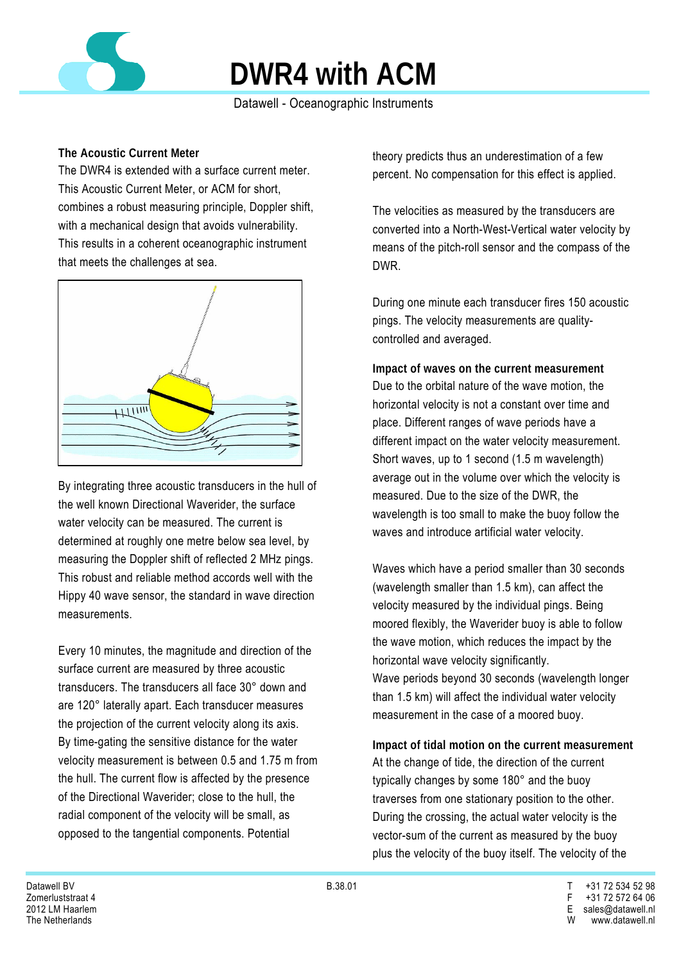

Datawell - Oceanographic Instruments

### **The Acoustic Current Meter**

The DWR4 is extended with a surface current meter. This Acoustic Current Meter, or ACM for short, combines a robust measuring principle, Doppler shift, with a mechanical design that avoids vulnerability. This results in a coherent oceanographic instrument that meets the challenges at sea.



By integrating three acoustic transducers in the hull of the well known Directional Waverider, the surface water velocity can be measured. The current is determined at roughly one metre below sea level, by measuring the Doppler shift of reflected 2 MHz pings. This robust and reliable method accords well with the Hippy 40 wave sensor, the standard in wave direction measurements.

Every 10 minutes, the magnitude and direction of the surface current are measured by three acoustic transducers. The transducers all face 30° down and are 120° laterally apart. Each transducer measures the projection of the current velocity along its axis. By time-gating the sensitive distance for the water velocity measurement is between 0.5 and 1.75 m from the hull. The current flow is affected by the presence of the Directional Waverider; close to the hull, the radial component of the velocity will be small, as opposed to the tangential components. Potential

theory predicts thus an underestimation of a few percent. No compensation for this effect is applied.

The velocities as measured by the transducers are converted into a North-West-Vertical water velocity by means of the pitch-roll sensor and the compass of the DWR.

During one minute each transducer fires 150 acoustic pings. The velocity measurements are qualitycontrolled and averaged.

**Impact of waves on the current measurement**  Due to the orbital nature of the wave motion, the horizontal velocity is not a constant over time and place. Different ranges of wave periods have a different impact on the water velocity measurement. Short waves, up to 1 second (1.5 m wavelength) average out in the volume over which the velocity is measured. Due to the size of the DWR, the wavelength is too small to make the buoy follow the waves and introduce artificial water velocity.

Waves which have a period smaller than 30 seconds (wavelength smaller than 1.5 km), can affect the velocity measured by the individual pings. Being moored flexibly, the Waverider buoy is able to follow the wave motion, which reduces the impact by the horizontal wave velocity significantly. Wave periods beyond 30 seconds (wavelength longer than 1.5 km) will affect the individual water velocity measurement in the case of a moored buoy.

**Impact of tidal motion on the current measurement**  At the change of tide, the direction of the current typically changes by some 180° and the buoy traverses from one stationary position to the other. During the crossing, the actual water velocity is the vector-sum of the current as measured by the buoy plus the velocity of the buoy itself. The velocity of the

The Netherlands W www.datawell.nl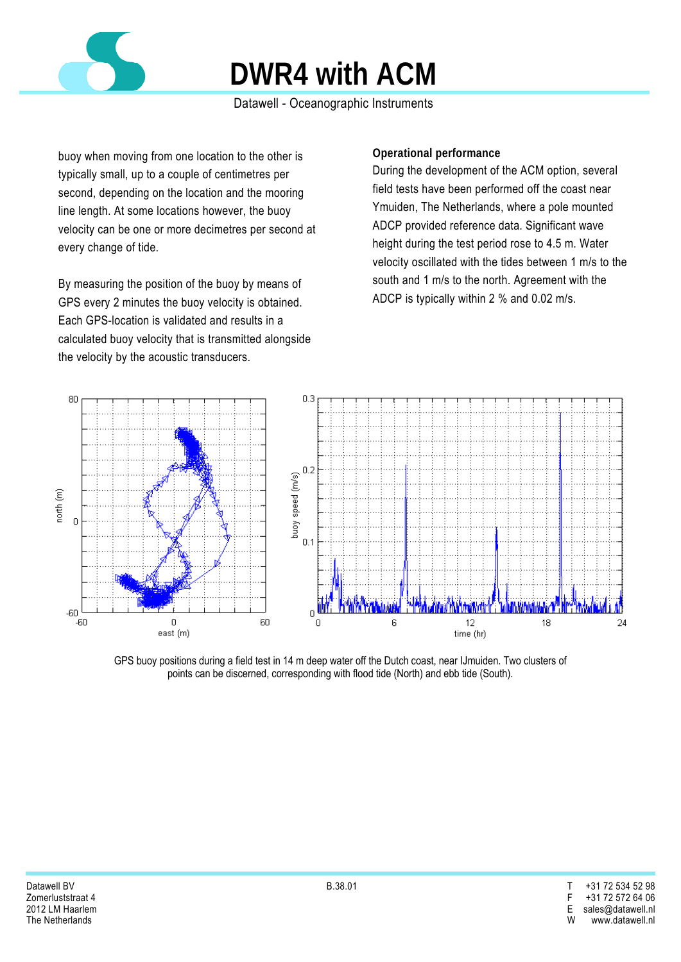

### Datawell - Oceanographic Instruments

buoy when moving from one location to the other is typically small, up to a couple of centimetres per second, depending on the location and the mooring line length. At some locations however, the buoy velocity can be one or more decimetres per second at every change of tide.

By measuring the position of the buoy by means of GPS every 2 minutes the buoy velocity is obtained. Each GPS-location is validated and results in a calculated buoy velocity that is transmitted alongside the velocity by the acoustic transducers.

### **Operational performance**

During the development of the ACM option, several field tests have been performed off the coast near Ymuiden, The Netherlands, where a pole mounted ADCP provided reference data. Significant wave height during the test period rose to 4.5 m. Water velocity oscillated with the tides between 1 m/s to the south and 1 m/s to the north. Agreement with the ADCP is typically within 2 % and 0.02 m/s.



GPS buoy positions during a field test in 14 m deep water off the Dutch coast, near IJmuiden. Two clusters of points can be discerned, corresponding with flood tide (North) and ebb tide (South).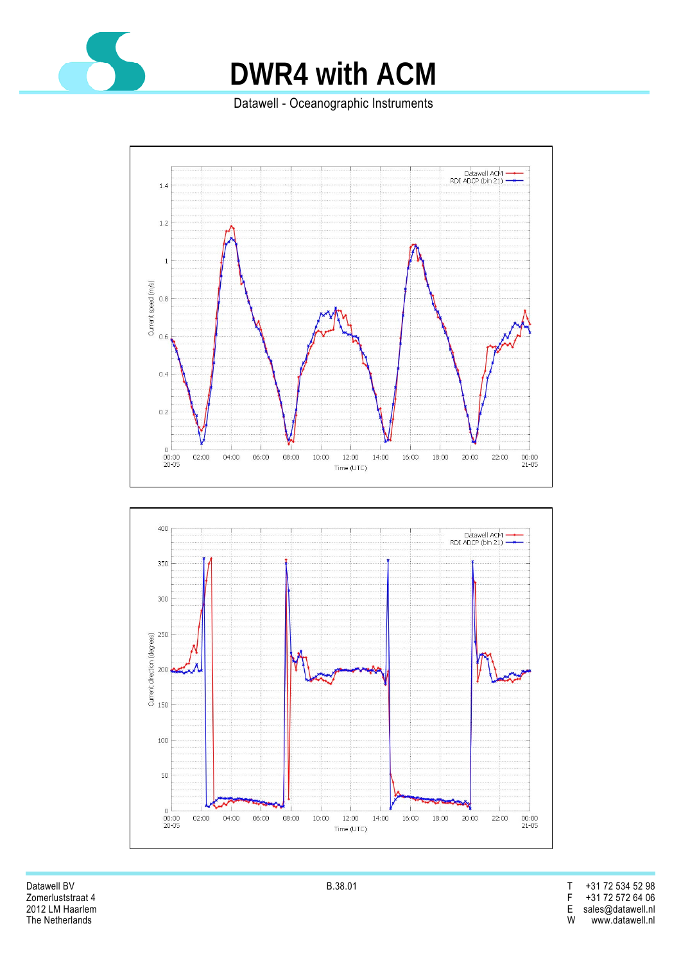

Datawell - Oceanographic Instruments





Datawell BV B.38.01 T +31 72 534 52 98 Zomerluststraat 4 F +31 72 572 64 06 2012 LM Haarlem E sales@datawell.nl www.datawell.nl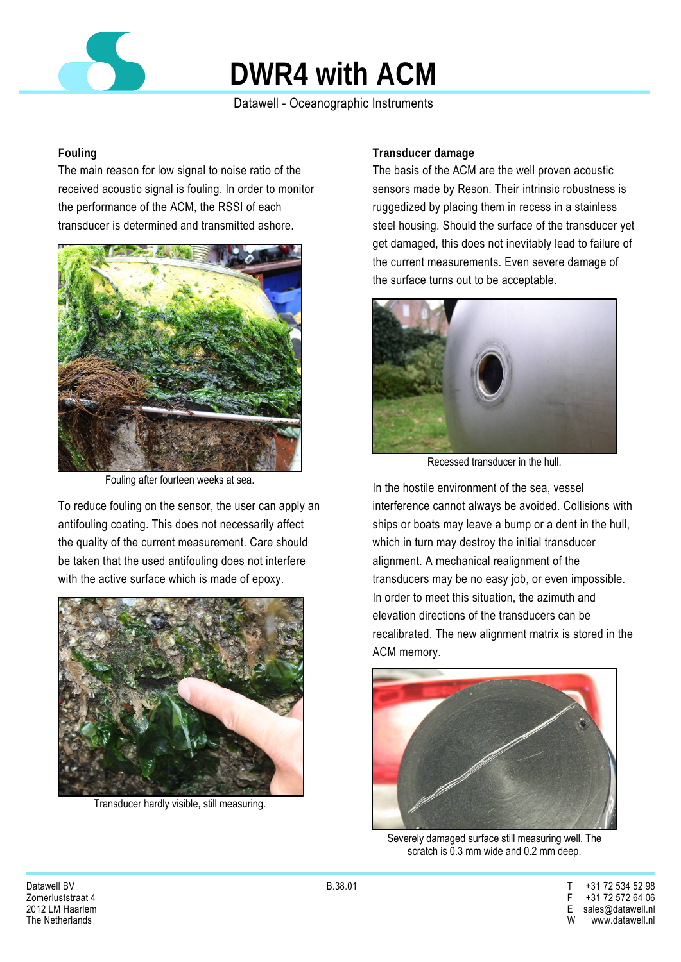

Datawell - Oceanographic Instruments

#### **Fouling**

The main reason for low signal to noise ratio of the received acoustic signal is fouling. In order to monitor the performance of the ACM, the RSSI of each transducer is determined and transmitted ashore.



Fouling after fourteen weeks at sea.

To reduce fouling on the sensor, the user can apply an antifouling coating. This does not necessarily affect the quality of the current measurement. Care should be taken that the used antifouling does not interfere with the active surface which is made of epoxy.



Transducer hardly visible, still measuring.

### **Transducer damage**

The basis of the ACM are the well proven acoustic sensors made by Reson. Their intrinsic robustness is ruggedized by placing them in recess in a stainless steel housing. Should the surface of the transducer yet get damaged, this does not inevitably lead to failure of the current measurements. Even severe damage of the surface turns out to be acceptable.



Recessed transducer in the hull.

In the hostile environment of the sea, vessel interference cannot always be avoided. Collisions with ships or boats may leave a bump or a dent in the hull, which in turn may destroy the initial transducer alignment. A mechanical realignment of the transducers may be no easy job, or even impossible. In order to meet this situation, the azimuth and elevation directions of the transducers can be recalibrated. The new alignment matrix is stored in the ACM memory.



Severely damaged surface still measuring well. The scratch is 0.3 mm wide and 0.2 mm deep.

Datawell BV B.38.01 T +31 72 534 52 98 Zomerluststraat 4 F +31 72 572 64 06 2012 LM Haarlem E sales@datawell.nl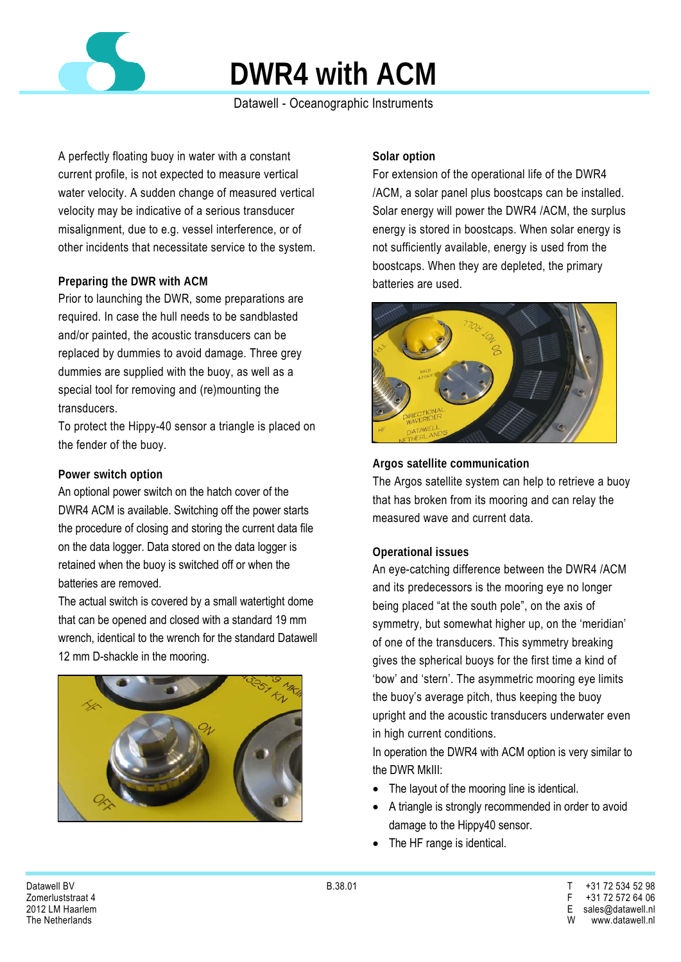

### Datawell - Oceanographic Instruments

A perfectly floating buoy in water with a constant current profile, is not expected to measure vertical water velocity. A sudden change of measured vertical velocity may be indicative of a serious transducer misalignment, due to e.g. vessel interference, or of other incidents that necessitate service to the system.

### **Preparing the DWR with ACM**

Prior to launching the DWR, some preparations are required. In case the hull needs to be sandblasted and/or painted, the acoustic transducers can be replaced by dummies to avoid damage. Three grey dummies are supplied with the buoy, as well as a special tool for removing and (re)mounting the transducers.

To protect the Hippy-40 sensor a triangle is placed on the fender of the buoy.

#### **Power switch option**

An optional power switch on the hatch cover of the DWR4 ACM is available. Switching off the power starts the procedure of closing and storing the current data file on the data logger. Data stored on the data logger is retained when the buoy is switched off or when the batteries are removed.

The actual switch is covered by a small watertight dome that can be opened and closed with a standard 19 mm wrench, identical to the wrench for the standard Datawell 12 mm D-shackle in the mooring.



#### **Solar option**

For extension of the operational life of the DWR4 /ACM, a solar panel plus boostcaps can be installed. Solar energy will power the DWR4 /ACM, the surplus energy is stored in boostcaps. When solar energy is not sufficiently available, energy is used from the boostcaps. When they are depleted, the primary batteries are used.



#### **Argos satellite communication**

The Argos satellite system can help to retrieve a buoy that has broken from its mooring and can relay the measured wave and current data.

#### **Operational issues**

An eye-catching difference between the DWR4 /ACM and its predecessors is the mooring eye no longer being placed "at the south pole", on the axis of symmetry, but somewhat higher up, on the 'meridian' of one of the transducers. This symmetry breaking gives the spherical buoys for the first time a kind of 'bow' and 'stern'. The asymmetric mooring eye limits the buoy's average pitch, thus keeping the buoy upright and the acoustic transducers underwater even in high current conditions.

In operation the DWR4 with ACM option is very similar to the DWR MkIII:

- The layout of the mooring line is identical.
- A triangle is strongly recommended in order to avoid damage to the Hippy40 sensor.
- The HF range is identical.